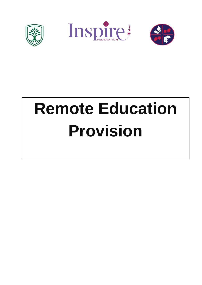





# **Remote Education Provision**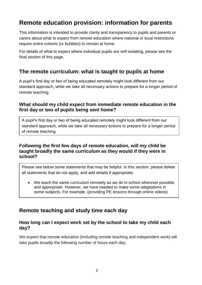# **Remote education provision: information for parents**

This information is intended to provide clarity and transparency to pupils and parents or carers about what to expect from remote education where national or local restrictions require entire cohorts (or bubbles) to remain at home.

For details of what to expect where individual pupils are self-isolating, please see the final section of this page.

# **The remote curriculum: what is taught to pupils at home**

A pupil's first day or two of being educated remotely might look different from our standard approach, while we take all necessary actions to prepare for a longer period of remote teaching.

#### **What should my child expect from immediate remote education in the first day or two of pupils being sent home?**

A pupil's first day or two of being educated remotely might look different from our standard approach, while we take all necessary actions to prepare for a longer period of remote teaching.

### **Following the first few days of remote education, will my child be taught broadly the same curriculum as they would if they were in school?**

Please see below some statements that may be helpful. In this section, please delete all statements that do not apply, and add details if appropriate:

 We teach the same curriculum remotely as we do in school wherever possible and appropriate. However, we have needed to make some adaptations in some subjects. For example, (providing PE lessons through online videos)

# **Remote teaching and study time each day**

#### **How long can I expect work set by the school to take my child each day?**

We expect that remote education (including remote teaching and independent work) will take pupils broadly the following number of hours each day: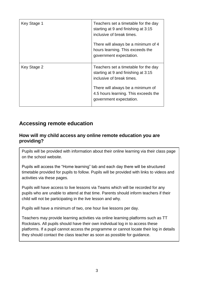| Key Stage 1 | Teachers set a timetable for the day<br>starting at 9 and finishing at 3:15<br>inclusive of break times.<br>There will always be a minimum of 4<br>hours learning. This exceeds the<br>government expectation.   |
|-------------|------------------------------------------------------------------------------------------------------------------------------------------------------------------------------------------------------------------|
| Key Stage 2 | Teachers set a timetable for the day<br>starting at 9 and finishing at 3:15<br>inclusive of break times.<br>There will always be a minimum of<br>4.5 hours learning. This exceeds the<br>government expectation. |

# **Accessing remote education**

## **How will my child access any online remote education you are providing?**

Pupils will be provided with information about their online learning via their class page on the school website.

Pupils will access the "Home learning" tab and each day there will be structured timetable provided for pupils to follow. Pupils will be provided with links to videos and activities via these pages.

Pupils will have access to live lessons via Teams which will be recorded for any pupils who are unable to attend at that time. Parents should inform teachers if their child will not be participating in the live lesson and why.

Pupils will have a minimum of two, one hour live lessons per day.

Teachers may provide learning activities via online learning platforms such as TT Rockstars. All pupils should have their own individual log in to access these platforms. If a pupil cannot access the programme or cannot locate their log in details they should contact the class teacher as soon as possible for guidance.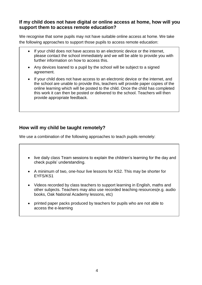#### **If my child does not have digital or online access at home, how will you support them to access remote education?**

We recognise that some pupils may not have suitable online access at home. We take the following approaches to support those pupils to access remote education:

- If your child does not have access to an electronic device or the internet, please contact the school immediately and we will be able to provide you with further information on how to access this.
- Any devices loaned to a pupil by the school will be subject to a signed agreement.
- If your child does not have access to an electronic device or the internet, and the school are unable to provide this, teachers will provide paper copies of the online learning which will be posted to the child. Once the child has completed this work it can then be posted or delivered to the school. Teachers will then provide appropriate feedback.

## **How will my child be taught remotely?**

We use a combination of the following approaches to teach pupils remotely:

- live daily class Team sessions to explain the children's learning for the day and check pupils' understanding.
- A minimum of two, one-hour live lessons for KS2. This may be shorter for EYFS/KS1
- Videos recorded by class teachers to support learning in English, maths and other subjects. Teachers may also use recorded teaching resources(e.g. audio books, Oak National Academy lessons, etc)

commercially available websites supporting the teaching of specific subjects or

 printed paper packs produced by teachers for pupils who are not able to access the e-learning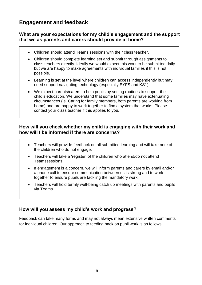# **Engagement and feedback**

## **What are your expectations for my child's engagement and the support that we as parents and carers should provide at home?**

- Children should attend Teams sessions with their class teacher.
- Children should complete learning set and submit through assignments to class teachers directly. Ideally we would expect this work to be submitted daily but we are happy to make agreements with individual families if this is not possible.
- Learning is set at the level where children can access independently but may need support navigating technology (especially EYFS and KS1).
- We expect parents/carers to help pupils by setting routines to support their child's education. We understand that some families may have extenuating circumstances (ie. Caring for family members, both parents are working from home) and are happy to work together to find a system that works. Please contact your class teacher if this applies to you.

## **How will you check whether my child is engaging with their work and how will I be informed if there are concerns?**

- Teachers will provide feedback on all submitted learning and will take note of the children who do not engage.
- Teachers will take a 'register' of the children who attend/do not attend Teamssessions.
- If engagement is a concern, we will inform parents and carers by email and/or a phone call to ensure communication between us is strong and to work together to ensure pupils are tackling the mandatory work.
- Teachers will hold termly well-being catch up meetings with parents and pupils via Teams.

## **How will you assess my child's work and progress?**

Feedback can take many forms and may not always mean extensive written comments for individual children. Our approach to feeding back on pupil work is as follows: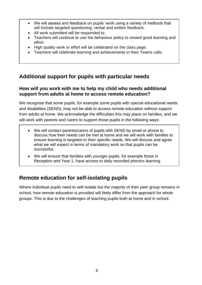- We will assess and feedback on pupils' work using a variety of methods that will include targeted questioning, verbal and written feedback.
- All work submitted will be responded to.
- Teachers will continue to use the behaviour policy to reward good learning and effort.
- High quality work or effort will be celebrated on the class page.
- Teachers will celebrate learning and achievements in their Teams calls.

# **Additional support for pupils with particular needs**

## **How will you work with me to help my child who needs additional support from adults at home to access remote education?**

We recognise that some pupils, for example some pupils with special educational needs and disabilities (SEND), may not be able to access remote education without support from adults at home. We acknowledge the difficulties this may place on families, and we will work with parents and carers to support those pupils in the following ways:

- We will contact parents/carers of pupils with SEND by email or phone to discuss how their needs can be met at home and we will work with families to ensure learning is targeted to their specific needs. We will discuss and agree what we will expect in terms of mandatory work so that pupils can be successful.
- We will ensure that families with younger pupils, for example those in Reception and Year 1, have access to daily recorded phonics learning.

# **Remote education for self-isolating pupils**

Where individual pupils need to self-isolate but the majority of their peer group remains in school, how remote education is provided will likely differ from the approach for whole groups. This is due to the challenges of teaching pupils both at home and in school.